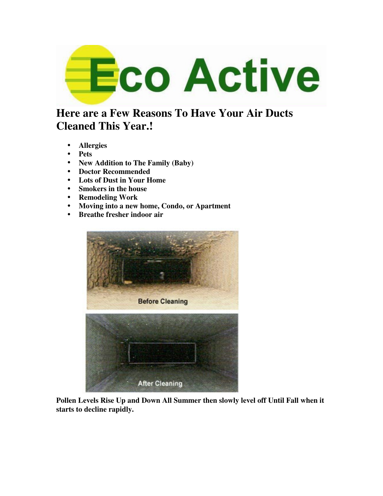

# **Here are a Few Reasons To Have Your Air Ducts Cleaned This Year.!**

- **Allergies**
- **Pets**
- **New Addition to The Family (Baby)**
- **Doctor Recommended**
- **Lots of Dust in Your Home**
- **Smokers in the house**
- **Remodeling Work**
- **Moving into a new home, Condo, or Apartment**
- **Breathe fresher indoor air**



**Pollen Levels Rise Up and Down All Summer then slowly level off Until Fall when it starts to decline rapidly.**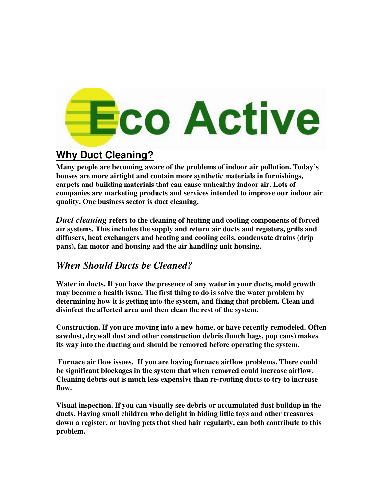# **Eco Active**

# **Why Duct Cleaning?**

**Many people are becoming aware of the problems of indoor air pollution. Today's houses are more airtight and contain more synthetic materials in furnishings, carpets and building materials that can cause unhealthy indoor air. Lots of companies are marketing products and services intended to improve our indoor air quality. One business sector is duct cleaning.** 

*Duct cleaning* **refers to the cleaning of heating and cooling components of forced air systems. This includes the supply and return air ducts and registers, grills and diffusers, heat exchangers and heating and cooling coils, condensate drains (drip pans), fan motor and housing and the air handling unit housing.** 

## *When Should Ducts be Cleaned?*

**Water in ducts. If you have the presence of any water in your ducts, mold growth may become a health issue. The first thing to do is solve the water problem by determining how it is getting into the system, and fixing that problem. Clean and disinfect the affected area and then clean the rest of the system.**

**Construction. If you are moving into a new home, or have recently remodeled. Often sawdust, drywall dust and other construction debris (lunch bags, pop cans) makes its way into the ducting and should be removed before operating the system.**

**Furnace air flow issues. If you are having furnace airflow problems. There could be significant blockages in the system that when removed could increase airflow. Cleaning debris out is much less expensive than re-routing ducts to try to increase flow.** 

**Visual inspection. If you can visually see debris or accumulated dust buildup in the ducts**. **Having small children who delight in hiding little toys and other treasures down a register, or having pets that shed hair regularly, can both contribute to this problem.**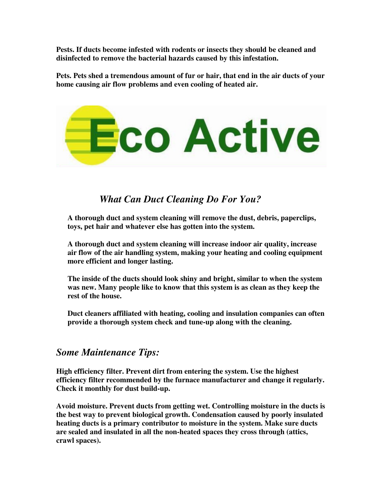**Pests. If ducts become infested with rodents or insects they should be cleaned and disinfected to remove the bacterial hazards caused by this infestation.** 

**Pets. Pets shed a tremendous amount of fur or hair, that end in the air ducts of your home causing air flow problems and even cooling of heated air.** 



## *What Can Duct Cleaning Do For You?*

**A thorough duct and system cleaning will remove the dust, debris, paperclips, toys, pet hair and whatever else has gotten into the system.** 

**A thorough duct and system cleaning will increase indoor air quality, increase air flow of the air handling system, making your heating and cooling equipment more efficient and longer lasting.** 

**The inside of the ducts should look shiny and bright, similar to when the system was new. Many people like to know that this system is as clean as they keep the rest of the house.** 

**Duct cleaners affiliated with heating, cooling and insulation companies can often provide a thorough system check and tune-up along with the cleaning.** 

### *Some Maintenance Tips:*

**High efficiency filter. Prevent dirt from entering the system. Use the highest efficiency filter recommended by the furnace manufacturer and change it regularly. Check it monthly for dust build-up.** 

**Avoid moisture. Prevent ducts from getting wet. Controlling moisture in the ducts is the best way to prevent biological growth. Condensation caused by poorly insulated heating ducts is a primary contributor to moisture in the system. Make sure ducts are sealed and insulated in all the non-heated spaces they cross through (attics, crawl spaces).**